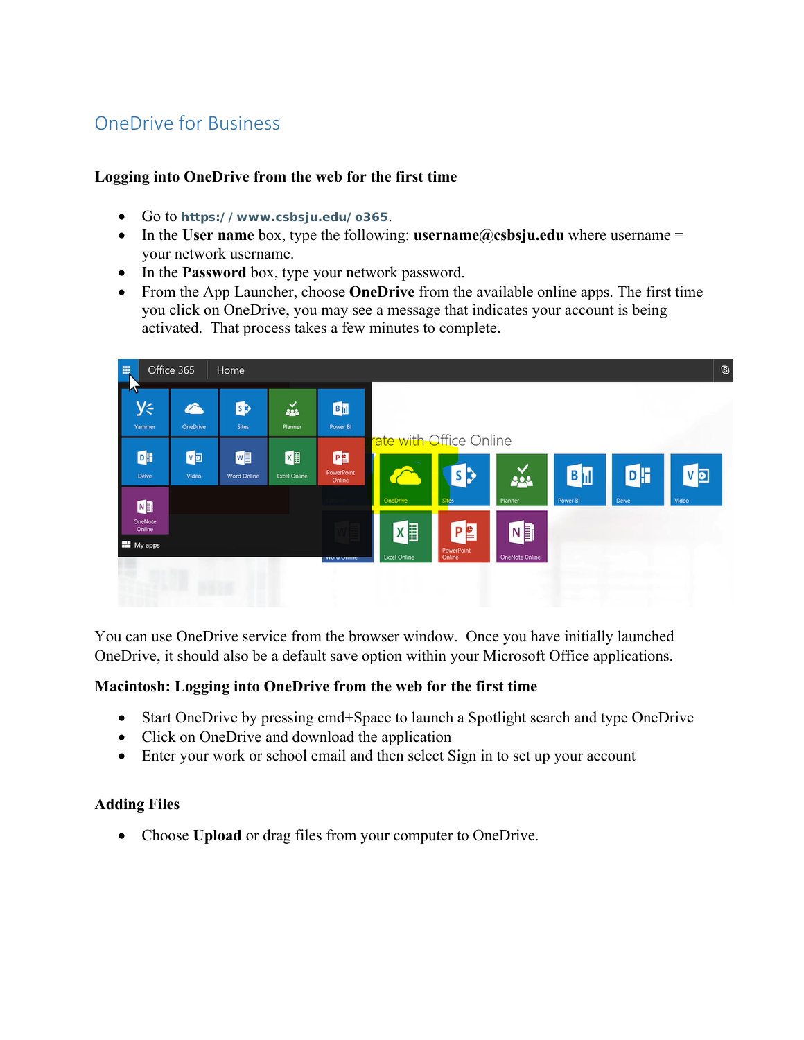# OneDrive for Business

## **Logging into OneDrive from the web for the first time**

- Go to **https://www.csbsju.edu/o365**.
- In the **User name** box, type the following: **username@csbsju.edu** where username = your network username.
- In the **Password** box, type your network password.
- From the App Launcher, choose **OneDrive** from the available online apps. The first time you click on OneDrive, you may see a message that indicates your account is being activated. That process takes a few minutes to complete.



You can use OneDrive service from the browser window. Once you have initially launched OneDrive, it should also be a default save option within your Microsoft Office applications.

## **Macintosh: Logging into OneDrive from the web for the first time**

- Start OneDrive by pressing cmd+Space to launch a Spotlight search and type OneDrive
- Click on OneDrive and download the application
- Enter your work or school email and then select Sign in to set up your account

## **Adding Files**

Choose **Upload** or drag files from your computer to OneDrive.